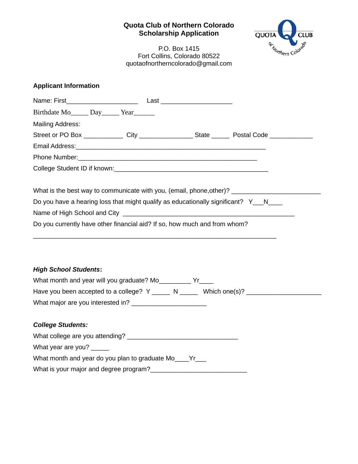## **Quota Club of Northern Colorado Scholarship Application**



P.O. Box 1415 Fort Collins, Colorado 80522 quotaofnortherncolorado@gmail.com

## **Applicant Information**

| Birthdate Mo Birthdate Mo Birthdate Mo Birthdate Mo Birthdate Mo Birthdate Mo Birthdate Mo Birthdate Mo Birthdate Mo Birthdate Mo Birthdate Mo Birthdate Mo Birthdate Mo Birthdate Mo Birthdate Mo Birthdate Mo Birthdate Mo B |  |  |
|--------------------------------------------------------------------------------------------------------------------------------------------------------------------------------------------------------------------------------|--|--|
| <b>Mailing Address:</b>                                                                                                                                                                                                        |  |  |
| Street or PO Box _____________City _________________State ________Postal Code _____________________                                                                                                                            |  |  |
|                                                                                                                                                                                                                                |  |  |
|                                                                                                                                                                                                                                |  |  |
|                                                                                                                                                                                                                                |  |  |
| Do you have a hearing loss that might qualify as educationally significant? Y N                                                                                                                                                |  |  |
|                                                                                                                                                                                                                                |  |  |
| Do you currently have other financial aid? If so, how much and from whom?                                                                                                                                                      |  |  |
| <b>High School Students:</b>                                                                                                                                                                                                   |  |  |
| What month and year will you graduate? Mo___________ Yr_____                                                                                                                                                                   |  |  |
| Have you been accepted to a college? Y ______ N ______ Which one(s)? ____________                                                                                                                                              |  |  |
|                                                                                                                                                                                                                                |  |  |
| <b>College Students:</b>                                                                                                                                                                                                       |  |  |
| What college are you attending?<br><u> What college are you attending?</u>                                                                                                                                                     |  |  |
| What year are you?                                                                                                                                                                                                             |  |  |
| What month and year do you plan to graduate Mo____Yr___                                                                                                                                                                        |  |  |
| What is your major and degree program?                                                                                                                                                                                         |  |  |